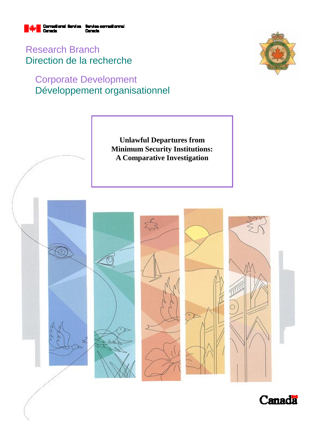

Research Branch Direction de la recherche

# Corporate Development Développement organisationnel





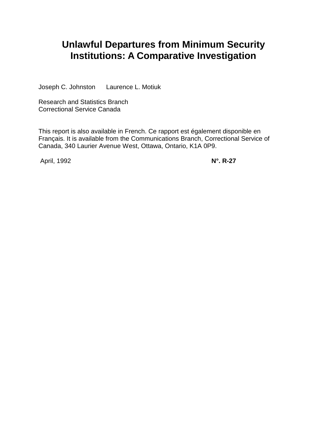# **Unlawful Departures from Minimum Security Institutions: A Comparative Investigation**

Joseph C. Johnston Laurence L. Motiuk

Research and Statistics Branch Correctional Service Canada

This report is also available in French. Ce rapport est également disponible en Français. It is available from the Communications Branch, Correctional Service of Canada, 340 Laurier Avenue West, Ottawa, Ontario, K1A 0P9.

April, 1992 **N°. R-27**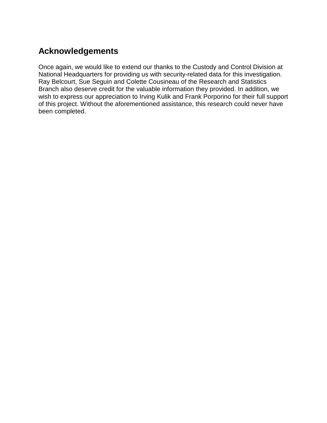# **Acknowledgements**

Once again, we would like to extend our thanks to the Custody and Control Division at National Headquarters for providing us with security-related data for this investigation. Ray Belcourt, Sue Seguin and Colette Cousineau of the Research and Statistics Branch also deserve credit for the valuable information they provided. In addition, we wish to express our appreciation to Irving Kulik and Frank Porporino for their full support of this project. Without the aforementioned assistance, this research could never have been completed.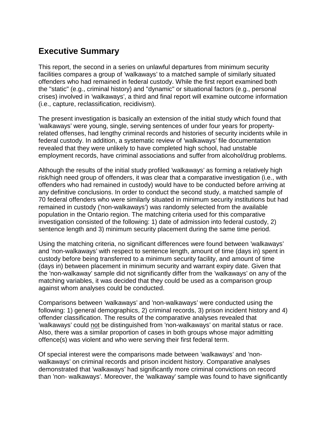# **Executive Summary**

This report, the second in a series on unlawful departures from minimum security facilities compares a group of 'walkaways' to a matched sample of similarly situated offenders who had remained in federal custody. While the first report examined both the "static" (e.g., criminal history) and "dynamic" or situational factors (e.g., personal crises) involved in 'walkaways', a third and final report will examine outcome information (i.e., capture, reclassification, recidivism).

The present investigation is basically an extension of the initial study which found that 'walkaways' were young, single, serving sentences of under four years for propertyrelated offenses, had lengthy criminal records and histories of security incidents while in federal custody. In addition, a systematic review of 'walkaways' file documentation revealed that they were unlikely to have completed high school, had unstable employment records, have criminal associations and suffer from alcohol/drug problems.

Although the results of the initial study profiled 'walkaways' as forming a relatively high risk/high need group of offenders, it was clear that a comparative investigation (i.e., with offenders who had remained in custody) would have to be conducted before arriving at any definitive conclusions. In order to conduct the second study, a matched sample of 70 federal offenders who were similarly situated in minimum security institutions but had remained in custody ('non-walkaways') was randomly selected from the available population in the Ontario region. The matching criteria used for this comparative investigation consisted of the following: 1) date of admission into federal custody, 2) sentence length and 3) minimum security placement during the same time period.

Using the matching criteria, no significant differences were found between 'walkaways' and 'non-walkaways' with respect to sentence length, amount of time (days in) spent in custody before being transferred to a minimum security facility, and amount of time (days in) between placement in minimum security and warrant expiry date. Given that the 'non-walkaway' sample did not significantly differ from the 'walkaways' on any of the matching variables, it was decided that they could be used as a comparison group against whom analyses could be conducted.

Comparisons between 'walkaways' and 'non-walkaways' were conducted using the following: 1) general demographics, 2) criminal records, 3) prison incident history and 4) offender classification. The results of the comparative analyses revealed that 'walkaways' could not be distinguished from 'non-walkaways' on marital status or race. Also, there was a similar proportion of cases in both groups whose major admitting offence(s) was violent and who were serving their first federal term.

Of special interest were the comparisons made between 'walkaways' and 'nonwalkaways' on criminal records and prison incident history. Comparative analyses demonstrated that 'walkaways' had significantly more criminal convictions on record than 'non- walkaways'. Moreover, the 'walkaway' sample was found to have significantly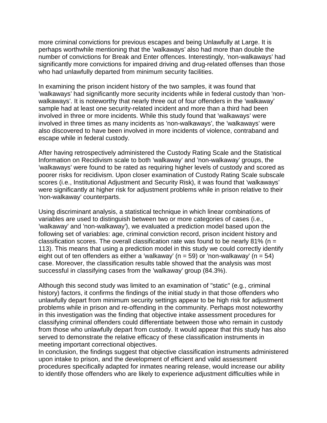more criminal convictions for previous escapes and being Unlawfully at Large. It is perhaps worthwhile mentioning that the 'walkaways' also had more than double the number of convictions for Break and Enter offences. Interestingly, 'non-walkaways' had significantly more convictions for impaired driving and drug-related offenses than those who had unlawfully departed from minimum security facilities.

In examining the prison incident history of the two samples, it was found that 'walkaways' had significantly more security incidents while in federal custody than 'nonwalkaways'. It is noteworthy that nearly three out of four offenders in the 'walkaway' sample had at least one security-related incident and more than a third had been involved in three or more incidents. While this study found that 'walkaways' were involved in three times as many incidents as 'non-walkaways', the 'walkaways' were also discovered to have been involved in more incidents of violence, contraband and escape while in federal custody.

After having retrospectively administered the Custody Rating Scale and the Statistical Information on Recidivism scale to both 'walkaway' and 'non-walkaway' groups, the 'walkaways' were found to be rated as requiring higher levels of custody and scored as poorer risks for recidivism. Upon closer examination of Custody Rating Scale subscale scores (i.e., Institutional Adjustment and Security Risk), it was found that 'walkaways' were significantly at higher risk for adjustment problems while in prison relative to their 'non-walkaway' counterparts.

Using discriminant analysis, a statistical technique in which linear combinations of variables are used to distinguish between two or more categories of cases (i.e., 'walkaway' and 'non-walkaway'), we evaluated a prediction model based upon the following set of variables: age, criminal conviction record, prison incident history and classification scores. The overall classification rate was found to be nearly 81% ( $n =$ 113). This means that using a prediction model in this study we could correctly identify eight out of ten offenders as either a 'walkaway' ( $n = 59$ ) or 'non-walkaway' ( $n = 54$ ) case. Moreover, the classification results table showed that the analysis was most successful in classifying cases from the 'walkaway' group (84.3%).

Although this second study was limited to an examination of "static" (e.g., criminal history) factors, it confirms the findings of the initial study in that those offenders who unlawfully depart from minimum security settings appear to be high risk for adjustment problems while in prison and re-offending in the community. Perhaps most noteworthy in this investigation was the finding that objective intake assessment procedures for classifying criminal offenders could differentiate between those who remain in custody from those who unlawfully depart from custody. It would appear that this study has also served to demonstrate the relative efficacy of these classification instruments in meeting important correctional objectives.

In conclusion, the findings suggest that objective classification instruments administered upon intake to prison, and the development of efficient and valid assessment procedures specifically adapted for inmates nearing release, would increase our ability to identify those offenders who are likely to experience adjustment difficulties while in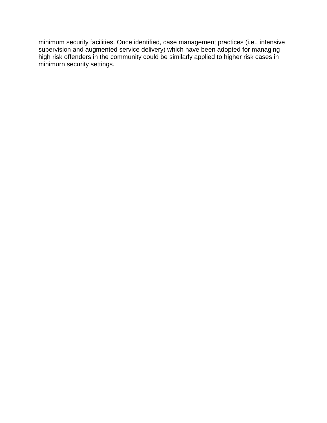minimum security facilities. Once identified, case management practices (i.e., intensive supervision and augmented service delivery) which have been adopted for managing high risk offenders in the community could be similarly applied to higher risk cases in minimurn security settings.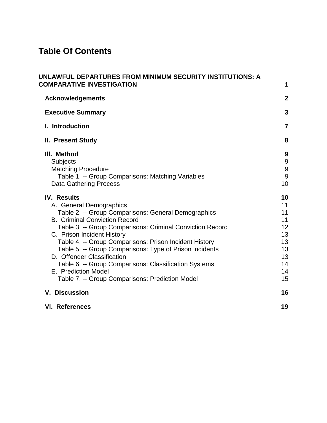# **Table Of Contents**

| UNLAWFUL DEPARTURES FROM MINIMUM SECURITY INSTITUTIONS: A<br><b>COMPARATIVE INVESTIGATION</b>                                                                                                                                                                                                                                                                                                                                                                                                                                 | 1                                                                    |
|-------------------------------------------------------------------------------------------------------------------------------------------------------------------------------------------------------------------------------------------------------------------------------------------------------------------------------------------------------------------------------------------------------------------------------------------------------------------------------------------------------------------------------|----------------------------------------------------------------------|
| <b>Acknowledgements</b>                                                                                                                                                                                                                                                                                                                                                                                                                                                                                                       | $\mathbf{2}$                                                         |
| <b>Executive Summary</b>                                                                                                                                                                                                                                                                                                                                                                                                                                                                                                      | $\mathbf{3}$                                                         |
| I. Introduction                                                                                                                                                                                                                                                                                                                                                                                                                                                                                                               | $\overline{7}$                                                       |
| <b>II. Present Study</b>                                                                                                                                                                                                                                                                                                                                                                                                                                                                                                      | 8                                                                    |
| III. Method<br>Subjects<br><b>Matching Procedure</b><br>Table 1. -- Group Comparisons: Matching Variables<br><b>Data Gathering Process</b>                                                                                                                                                                                                                                                                                                                                                                                    | 9<br>$\boldsymbol{9}$<br>$\boldsymbol{9}$<br>9<br>10                 |
| <b>IV. Results</b><br>A. General Demographics<br>Table 2. -- Group Comparisons: General Demographics<br><b>B. Criminal Conviction Record</b><br>Table 3. -- Group Comparisons: Criminal Conviction Record<br>C. Prison Incident History<br>Table 4. -- Group Comparisons: Prison Incident History<br>Table 5. -- Group Comparisons: Type of Prison incidents<br>D. Offender Classification<br>Table 6. -- Group Comparisons: Classification Systems<br>E. Prediction Model<br>Table 7. -- Group Comparisons: Prediction Model | 10<br>11<br>11<br>11<br>12<br>13<br>13<br>13<br>13<br>14<br>14<br>15 |
| <b>V. Discussion</b>                                                                                                                                                                                                                                                                                                                                                                                                                                                                                                          | 16                                                                   |
| <b>VI. References</b>                                                                                                                                                                                                                                                                                                                                                                                                                                                                                                         | 19                                                                   |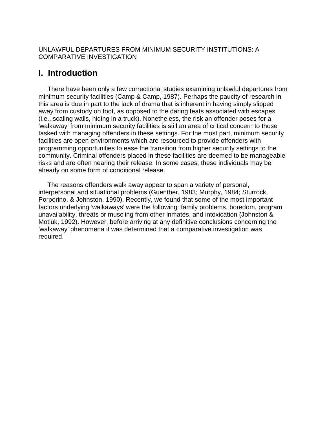#### UNLAWFUL DEPARTURES FROM MINIMUM SECURITY INSTITUTIONS: A COMPARATIVE INVESTIGATION

# **I. Introduction**

 There have been only a few correctional studies examining unlawful departures from minimum security facilities (Camp & Camp, 1987). Perhaps the paucity of research in this area is due in part to the lack of drama that is inherent in having simply slipped away from custody on foot, as opposed to the daring feats associated with escapes (i.e., scaling walls, hiding in a truck). Nonetheless, the risk an offender poses for a 'walkaway' from minimum security facilities is still an area of critical concern to those tasked with managing offenders in these settings. For the most part, minimum security facilities are open environments which are resourced to provide offenders with programming opportunities to ease the transition from higher security settings to the community. Criminal offenders placed in these facilities are deemed to be manageable risks and are often nearing their release. In some cases, these individuals may be already on some form of conditional release.

 The reasons offenders walk away appear to span a variety of personal, interpersonal and situational problems (Guenther, 1983; Murphy, 1984; Sturrock, Porporino, & Johnston, 1990). Recently, we found that some of the most important factors underlying 'walkaways' were the following: family problems, boredom, program unavailability, threats or muscling from other inmates, and intoxication (Johnston & Motiuk, 1992). However, before arriving at any definitive conclusions concerning the 'walkaway' phenomena it was determined that a comparative investigation was required.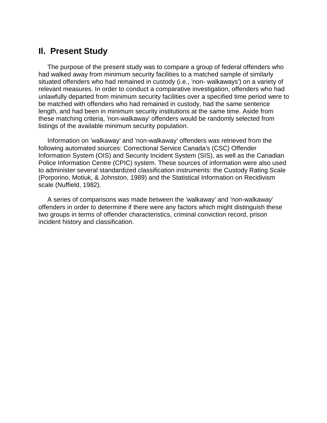### **Il. Present Study**

 The purpose of the present study was to compare a group of federal offenders who had walked away from minimum security facilities to a matched sample of similarly situated offenders who had remained in custody (i.e., 'non- walkaways') on a variety of relevant measures. In order to conduct a comparative investigation, offenders who had unlawfully departed from minimum security facilities over a specified time period were to be matched with offenders who had remained in custody, had the same sentence length, and had been in minimum security institutions at the same time. Aside from these matching criteria, 'non-walkaway' offenders would be randomly selected from listings of the available minimum security population.

 Information on 'walkaway' and 'non-walkaway' offenders was retrieved from the following automated sources: Correctional Service Canada's (CSC) Offender Information System (OIS) and Security Incident System (SIS), as well as the Canadian Police Information Centre (CPIC) system. These sources of information were also used to administer several standardized classification instruments: the Custody Rating Scale (Porporino, Motiuk, & Johnston, 1989) and the Statistical Information on Recidivism scale (Nuffield, 1982).

 A series of comparisons was made between the 'walkaway' and 'non-walkaway' offenders in order to determine if there were any factors which might distinguish these two groups in terms of offender characteristics, criminal conviction record, prison incident history and classification.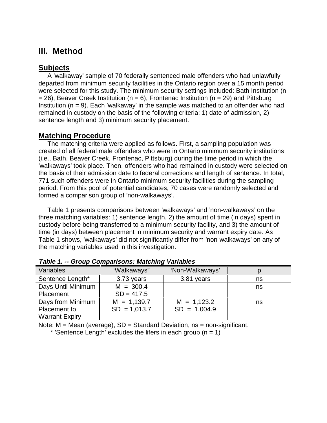# **Ill. Method**

### **Subjects**

 A 'walkaway' sample of 70 federally sentenced male offenders who had unlawfully departed from minimum security facilities in the Ontario region over a 15 month period were selected for this study. The minimum security settings included: Bath Institution (n  $= 26$ ), Beaver Creek Institution (n = 6), Frontenac Institution (n = 29) and Pittsburg Institution ( $n = 9$ ). Each 'walkaway' in the sample was matched to an offender who had remained in custody on the basis of the following criteria: 1) date of admission, 2) sentence length and 3) minimum security placement.

#### **Matching Procedure**

 The matching criteria were applied as follows. First, a sampling population was created of all federal male offenders who were in Ontario minimum security institutions (i.e., Bath, Beaver Creek, Frontenac, Pittsburg) during the time period in which the 'walkaways' took place. Then, offenders who had remained in custody were selected on the basis of their admission date to federal corrections and length of sentence. In total, 771 such offenders were in Ontario minimum security facilities during the sampling period. From this pool of potential candidates, 70 cases were randomly selected and formed a comparison group of 'non-walkaways'.

 Table 1 presents comparisons between 'walkaways' and 'non-walkaways' on the three matching variables: 1) sentence length, 2) the amount of time (in days) spent in custody before being transferred to a minimum security facility, and 3) the amount of time (in days) between placement in minimum security and warrant expiry date. As Table 1 shows, 'walkaways' did not significantly differ from 'non-walkaways' on any of the matching variables used in this investigation.

| Variables             | 'Walkaways"    | 'Non-Walkaways' |    |
|-----------------------|----------------|-----------------|----|
| Sentence Length*      | 3.73 years     | 3.81 years      | ns |
| Days Until Minimum    | $M = 300.4$    |                 | ns |
| Placement             | $SD = 417.5$   |                 |    |
| Days from Minimum     | $M = 1,139.7$  | $M = 1,123.2$   | ns |
| Placement to          | $SD = 1,013.7$ | $SD = 1,004.9$  |    |
| <b>Warrant Expiry</b> |                |                 |    |

| Table 1. -- Group Comparisons: Matching Variables |  |  |  |
|---------------------------------------------------|--|--|--|
|---------------------------------------------------|--|--|--|

Note:  $M = Mean$  (average),  $SD = Standard Deviation$ ,  $ns = non-significant$ .

\* 'Sentence Length' excludes the lifers in each group  $(n = 1)$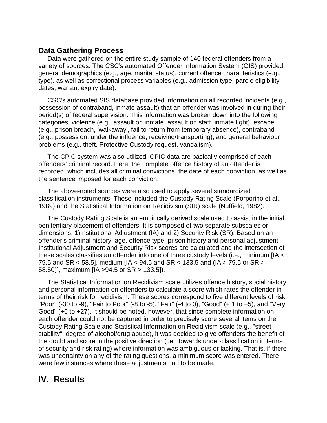#### **Data Gathering Process**

 Data were gathered on the entire study sample of 140 federal offenders from a variety of sources. The CSC's automated Offender Information System (OIS) provided general demographics (e.g., age, marital status), current offence characteristics (e.g., type), as well as correctional process variables (e.g., admission type, parole eligibility dates, warrant expiry date).

 CSC's automated SIS database provided information on all recorded incidents (e.g., possession of contraband, inmate assault) that an offender was involved in during their period(s) of federal supervision. This information was broken down into the following categories: violence (e.g., assault on inmate, assault on staff, inmate fight), escape (e.g., prison breach, 'walkaway', fail to return from temporary absence), contraband (e.g., possession, under the influence, receiving/transporting), and general behaviour problems (e.g., theft, Protective Custody request, vandalism).

 The CPIC system was also utilized. CPIC data are basically comprised of each offenders' criminal record. Here, the complete offence history of an offender is recorded, which includes all criminal convictions, the date of each conviction, as well as the sentence imposed for each conviction.

 The above-noted sources were also used to apply several standardized classification instruments. These included the Custody Rating Scale (Porporino et al., 1989) and the Statistical Information on Recidivism (SIR) scale (Nuffield, 1982).

 The Custody Rating Scale is an empirically derived scale used to assist in the initial penitentiary placement of offenders. It is composed of two separate subscales or dimensions: 1)Institutional Adjustment (IA) and 2) Security Risk (SR). Based on an offender's criminal history, age, offence type, prison history and personal adjustment, Institutional Adjustment and Security Risk scores are calculated and the intersection of these scales classifies an offender into one of three custody levels (i.e., minimum [IA < 79.5 and SR < 58.5], medium [IA < 94.5 and SR < 133.5 and (IA > 79.5 or SR > 58.50)], maximum [IA >94.5 or SR > 133.5]).

 The Statistical Information on Recidivism scale utilizes offence history, social history and personal information on offenders to calculate a score which rates the offender in terms of their risk for recidivism. These scores correspond to five different levels of risk; "Poor" (-30 to -9), "Fair to Poor" (-8 to -5), "Fair" (-4 to 0), "Good" (+ 1 to +5), and "Very Good" (+6 to +27). It should be noted, however, that since complete information on each offender could not be captured in order to precisely score several items on the Custody Rating Scale and Statistical Information on Recidivism scale (e.g., "street stability", degree of alcohol/drug abuse), it was decided to give offenders the benefit of the doubt and score in the positive direction (i.e., towards under-classification in terms of security and risk rating) where information was ambiguous or lacking. That is, if there was uncertainty on any of the rating questions, a minimum score was entered. There were few instances where these adjustments had to be made.

## **IV. Results**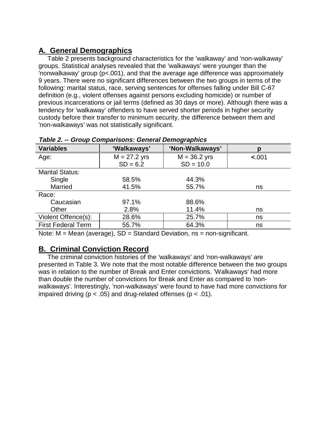# **A. General Demographics**

 Table 2 presents background characteristics for the 'walkaway' and 'non-walkaway' groups. Statistical analyses revealed that the 'walkaways' were younger than the 'nonwalkaway' group (p<.001), and that the average age difference was approximately 9 years. There were no significant differences between the two groups in terms of the following: marital status, race, serving sentences for offenses falling under Bill C-67 definition (e.g., violent offenses against persons excluding homicide) or number of previous incarcerations or jail terms (defined as 30 days or more). Although there was a tendency for 'walkaway' offenders to have served shorter periods in higher security custody before their transfer to minimum security, the difference between them and 'non-walkaways' was not statistically significant.

| <b>Variables</b>          | 'Non-Walkaways'<br>'Walkaways' |                | р      |  |  |
|---------------------------|--------------------------------|----------------|--------|--|--|
| Age:                      | $M = 27.2$ yrs                 | $M = 36.2$ yrs | < .001 |  |  |
|                           | $SD = 6.2$                     | $SD = 10.0$    |        |  |  |
| <b>Marital Status:</b>    |                                |                |        |  |  |
| Single                    | 58.5%                          | 44.3%          |        |  |  |
| <b>Married</b>            | 41.5%                          | 55.7%          |        |  |  |
| Race:                     |                                |                |        |  |  |
| Caucasian                 | 97.1%                          | 88.6%          |        |  |  |
| Other                     | 2.8%                           | 11.4%          | ns     |  |  |
| Violent Offence(s):       | 28.6%                          | 25.7%          | ns     |  |  |
| <b>First Federal Term</b> | 55.7%                          | 64.3%          | ns     |  |  |
|                           |                                |                | ns     |  |  |

#### **Table 2. -- Group Comparisons: General Demographics**

Note:  $M = Mean$  (average),  $SD = Standard Deviation$ ,  $ns = non-significant$ .

### **B. Criminal Conviction Record**

 The criminal conviction histories of the 'walkaways' and 'non-walkaways' are presented in Table 3. We note that the most notable difference between the two groups was in relation to the number of Break and Enter convictions. 'Walkaways' had more than double the number of convictions for Break and Enter as compared to 'nonwalkaways'. Interestingly, 'non-walkaways' were found to have had more convictions for impaired driving ( $p < .05$ ) and drug-related offenses ( $p < .01$ ).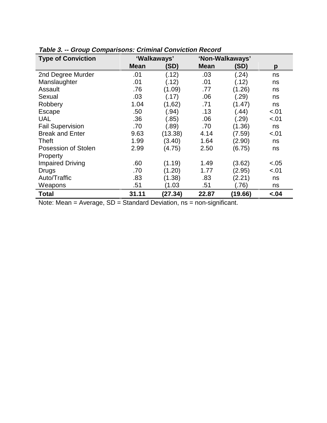| <b>Type of Conviction</b> |             | 'Walkaways' |             | 'Non-Walkaways' |        |
|---------------------------|-------------|-------------|-------------|-----------------|--------|
|                           | <b>Mean</b> | (SD)        | <b>Mean</b> | (SD)            | p      |
| 2nd Degree Murder         | .01         | (.12)       | .03         | (.24)           | ns     |
| Manslaughter              | .01         | (.12)       | .01         | (.12)           | ns     |
| Assault                   | .76         | (1.09)      | .77         | (1.26)          | ns     |
| Sexual                    | .03         | (.17)       | .06         | (.29)           | ns     |
| Robbery                   | 1.04        | (1,62)      | .71         | (1.47)          | ns     |
| Escape                    | .50         | (.94)       | .13         | (44)            | $-.01$ |
| <b>UAL</b>                | .36         | (.85)       | .06         | .29)            | $-.01$ |
| <b>Fail Supervision</b>   | .70         | (.89)       | .70         | (1.36)          | ns     |
| <b>Break and Enter</b>    | 9.63        | (13.38)     | 4.14        | (7.59)          | $-.01$ |
| <b>Theft</b>              | 1.99        | (3.40)      | 1.64        | (2.90)          | ns     |
| Posession of Stolen       | 2.99        | (4.75)      | 2.50        | (6.75)          | ns     |
| Property                  |             |             |             |                 |        |
| <b>Impaired Driving</b>   | .60         | (1.19)      | 1.49        | (3.62)          | $-.05$ |
| Drugs                     | .70         | (1.20)      | 1.77        | (2.95)          | $-.01$ |
| Auto/Traffic              | .83         | (1.38)      | .83         | (2.21)          | ns     |
| Weapons                   | .51         | 1.03        | .51         | (0.76)          | ns     |
| <b>Total</b>              | 31.11       | (27.34)     | 22.87       | (19.66)         | $-.04$ |

**Table 3. -- Group Comparisons: Criminal Conviction Record**

Note: Mean = Average, SD = Standard Deviation, ns = non-significant.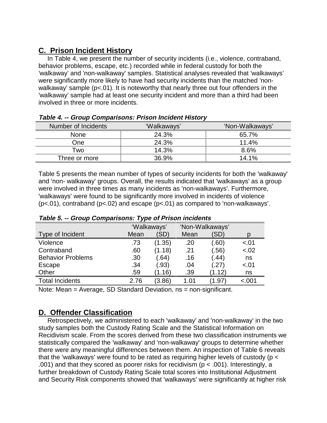## **C. Prison Incident History**

 In Table 4, we present the number of security incidents (i.e., violence, contraband, behavior problems, escape, etc.) recorded while in federal custody for both the 'walkaway' and 'non-walkaway' samples. Statistical analyses revealed that 'walkaways' were significantly more likely to have had security incidents than the matched 'nonwalkaway' sample (p<.01). It is noteworthy that nearly three out four offenders in the 'walkaway' sample had at least one security incident and more than a third had been involved in three or more incidents.

| Number of Incidents | 'Walkaways' | 'Non-Walkaways' |  |  |  |  |
|---------------------|-------------|-----------------|--|--|--|--|
| <b>None</b>         | 24.3%       | 65.7%           |  |  |  |  |
| One                 | 24.3%       | 11.4%           |  |  |  |  |
| Two                 | 14.3%       | 8.6%            |  |  |  |  |
| Three or more       | 36.9%       | 14.1%           |  |  |  |  |

**Table 4. -- Group Comparisons: Prison Incident History**

Table 5 presents the mean number of types of security incidents for both the 'walkaway' and 'non- walkaway' groups. Overall, the results indicated that 'walkaways' as a group were involved in three times as many incidents as 'non-walkaways'. Furthermore, 'walkaways' were found to be significantly more involved in incidents of violence (p<.01), contraband (p<.02) and escape (p<.01) as compared to 'non-walkaways'.

|                          | 'Walkaways' |        | 'Non-Walkaways' |        |         |
|--------------------------|-------------|--------|-----------------|--------|---------|
| Type of Incident         | Mean        | (SD)   | Mean            | 'SD'   |         |
| Violence                 | .73         | (1.35) | .20             | (0.60) | $-.01$  |
| Contraband               | .60         | (1.18) | .21             | (.56)  | $-.02$  |
| <b>Behavior Problems</b> | .30         | (.64)  | .16             | (44)   | ns      |
| Escape                   | .34         | (.93)  | .04             | (27)   | $-.01$  |
| Other                    | .59         | (1.16) | .39             | (1.12) | ns      |
| <b>Total Incidents</b>   | 2.76        | (3.86) | 1.01            | (1.97) | $-.001$ |

#### **Table 5. -- Group Comparisons: Type of Prison incidents**

Note: Mean = Average, SD Standard Deviation, ns = non-significant.

### **D. Offender Classification**

 Retrospectively, we administered to each 'walkaway' and 'non-walkaway' in the two study samples both the Custody Rating Scale and the Statistical Information on Recidivism scale. From the scores derived from these two classification instruments we statistically compared the 'walkaway' and 'non-walkaway' groups to determine whether there were any meaningful differences between them. An inspection of Table 6 reveals that the 'walkaways' were found to be rated as requiring higher levels of custody (p < .001) and that they scored as poorer risks for recidivism ( $p < .001$ ). Interestingly, a further breakdown of Custody Rating Scale total scores into Institutional Adjustment and Security Risk components showed that 'walkaways' were significantly at higher risk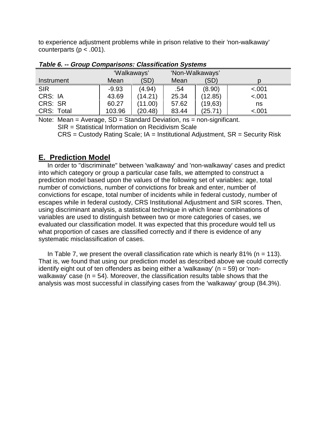to experience adjustment problems while in prison relative to their 'non-walkaway' counterparts ( $p < .001$ ).

|            | 'Walkaways' |         | 'Non-Walkaways' |          |         |
|------------|-------------|---------|-----------------|----------|---------|
| Instrument | Mean        | (SD)    | Mean            | (SD)     |         |
| <b>SIR</b> | $-9.93$     | (4.94)  | .54             | (8.90)   | < .001  |
| CRS: IA    | 43.69       | (14.21) | 25.34           | (12.85)  | < .001  |
| CRS: SR    | 60.27       | (11.00) | 57.62           | (19, 63) | ns      |
| CRS: Total | 103.96      | (20.48) | 83.44           | (25.71)  | $-.001$ |

**Table 6. -- Group Comparisons: Classification Systems**

Note: Mean = Average,  $SD = Standard Deviation$ ,  $ns = non-significant$ . SIR = Statistical Information on Recidivism Scale

CRS = Custody Rating Scale; IA = Institutional Adjustment, SR = Security Risk

### **E. Prediction Model**

 In order to "discriminate" between 'walkaway' and 'non-walkaway' cases and predict into which category or group a particular case falls, we attempted to construct a prediction model based upon the values of the following set of variables: age, total number of convictions, number of convictions for break and enter, number of convictions for escape, total number of incidents while in federal custody, number of escapes while in federal custody, CRS Institutional Adjustment and SIR scores. Then, using discriminant analysis, a statistical technique in which linear combinations of variables are used to distinguish between two or more categories of cases, we evaluated our classification model. It was expected that this procedure would tell us what proportion of cases are classified correctly and if there is evidence of any systematic misclassification of cases.

In Table 7, we present the overall classification rate which is nearly 81% ( $n = 113$ ). That is, we found that using our prediction model as described above we could correctly identify eight out of ten offenders as being either a 'walkaway' ( $n = 59$ ) or 'nonwalkaway' case ( $n = 54$ ). Moreover, the classification results table shows that the analysis was most successful in classifying cases from the 'walkaway' group (84.3%).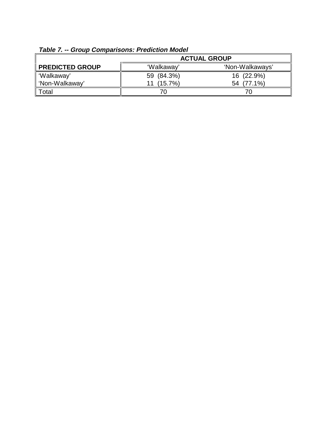|                        | <b>ACTUAL GROUP</b> |                 |  |  |
|------------------------|---------------------|-----------------|--|--|
| <b>PREDICTED GROUP</b> | 'Walkaway'          | 'Non-Walkaways' |  |  |
| 'Walkaway'             | 59 (84.3%)          | 16 (22.9%)      |  |  |
| 'Non-Walkaway'         | 11 (15.7%)          | 54 (77.1%)      |  |  |
| Total                  |                     | 70              |  |  |

**Table 7. -- Group Comparisons: Prediction Model**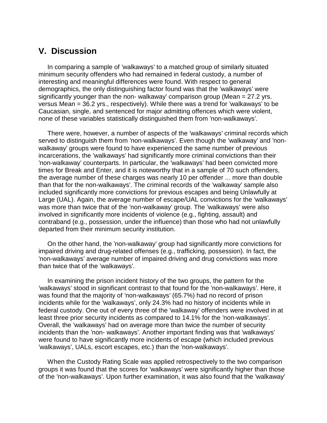## **V. Discussion**

 In comparing a sample of 'walkaways' to a matched group of similarly situated minimum security offenders who had remained in federal custody, a number of interesting and meaningful differences were found. With respect to general demographics, the only distinguishing factor found was that the 'walkaways' were significantly younger than the non- walkaway' comparison group (Mean = 27.2 yrs. versus Mean = 36.2 yrs., respectively). While there was a trend for 'walkaways' to be Caucasian, single, and sentenced for major admitting offences which were violent, none of these variables statistically distinguished them from 'non-walkaways'.

 There were, however, a number of aspects of the 'walkaways' criminal records which served to distinguish them from 'non-walkaways'. Even though the 'walkaway' and 'nonwalkaway' groups were found to have experienced the same number of previous incarcerations, the 'walkaways' had significantly more criminal convictions than their 'non-walkaway' counterparts. In particular, the 'walkaways' had been convicted more times for Break and Enter, and it is noteworthy that in a sample of 70 such offenders, the average number of these charges was nearly 10 per offender ... more than double than that for the non-walkaways'. The criminal records of the 'walkaway' sample also included significantly more convictions for previous escapes and being Unlawfully at Large (UAL). Again, the average number of escape/UAL convictions for the 'walkaways' was more than twice that of the 'non-walkaway' group. The 'walkaways' were also involved in significantly more incidents of violence (e.g., fighting, assault) and contraband (e.g., possession, under the influence) than those who had not unlawfully departed from their minimum security institution.

 On the other hand, the 'non-walkaway' group had significantly more convictions for impaired driving and drug-related offenses (e.g., trafficking, possession). In fact, the 'non-walkaways' average number of impaired driving and drug convictions was more than twice that of the 'walkaways'.

 In examining the prison incident history of the two groups, the pattern for the 'walkaways' stood in significant contrast to that found for the 'non-walkaways'. Here, it was found that the majority of 'non-walkaways' (65.7%) had no record of prison incidents while for the 'walkaways', only 24.3% had no history of incidents while in federal custody. One out of every three of the 'walkaway' offenders were involved in at least three prior security incidents as compared to 14.1% for the 'non-walkaways'. Overall, the 'walkaways' had on average more than twice the number of security incidents than the 'non- walkaways'. Another important finding was that 'walkaways' were found to have significantly more incidents of escape (which included previous 'walkaways', UALs, escort escapes, etc.) than the 'non-walkaways'.

 When the Custody Rating Scale was applied retrospectively to the two comparison groups it was found that the scores for 'walkaways' were significantly higher than those of the 'non-walkaways'. Upon further examination, it was also found that the 'walkaway'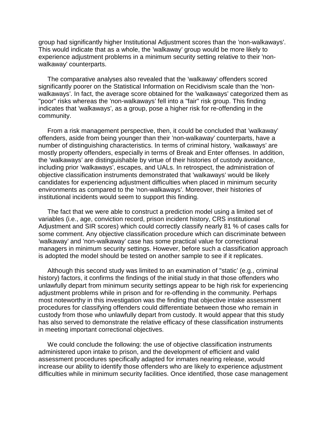group had significantly higher Institutional Adjustment scores than the 'non-walkaways'. This would indicate that as a whole, the 'walkaway' group would be more likely to experience adjustment problems in a minimum security setting relative to their 'nonwalkaway' counterparts.

 The comparative analyses also revealed that the 'walkaway' offenders scored significantly poorer on the Statistical Information on Recidivism scale than the 'nonwalkaways'. In fact, the average score obtained for the 'walkaways' categorized them as "poor" risks whereas the 'non-walkaways' fell into a "fair" risk group. This finding indicates that 'walkaways', as a group, pose a higher risk for re-offending in the community.

 From a risk management perspective, then, it could be concluded that 'walkaway' offenders, aside from being younger than their 'non-walkaway' counterparts, have a number of distinguishing characteristics. In terms of criminal history, 'walkaways' are mostly property offenders, especially in terms of Break and Enter offenses. In addition, the 'walkaways' are distinguishable by virtue of their histories of custody avoidance, including prior 'walkaways', escapes, and UALs. In retrospect, the administration of objective classification instruments demonstrated that 'walkaways' would be likely candidates for experiencing adjustment difficulties when placed in minimum security environments as compared to the 'non-walkaways'. Moreover, their histories of institutional incidents would seem to support this finding.

 The fact that we were able to construct a prediction model using a limited set of variables (i.e., age, conviction record, prison incident history, CRS institutional Adjustment and SIR scores) which could correctly classify nearly 81 % of cases calls for some comment. Any objective classification procedure which can discriminate between 'walkaway' and 'non-walkaway' case has some practical value for correctional managers in minimum security settings. However, before such a classification approach is adopted the model should be tested on another sample to see if it replicates.

 Although this second study was limited to an examination of "static' (e.g., criminal history) factors, it confirms the findings of the initial study in that those offenders who unlawfully depart from minimum security settings appear to be high risk for experiencing adjustment problems while in prison and for re-offending in the community. Perhaps most noteworthy in this investigation was the finding that objective intake assessment procedures for classifying offenders could differentiate between those who remain in custody from those who unlawfully depart from custody. It would appear that this study has also served to demonstrate the relative efficacy of these classification instruments in meeting important correctional objectives.

 We could conclude the following: the use of objective classification instruments administered upon intake to prison, and the development of efficient and valid assessment procedures specifically adapted for inmates nearing release, would increase our ability to identify those offenders who are likely to experience adjustment difficulties while in minimum security facilities. Once identified, those case management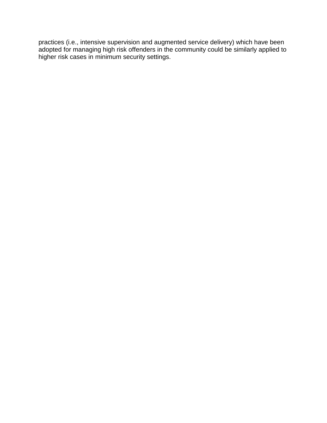practices (i.e., intensive supervision and augmented service delivery) which have been adopted for managing high risk offenders in the community could be similarly applied to higher risk cases in minimum security settings.